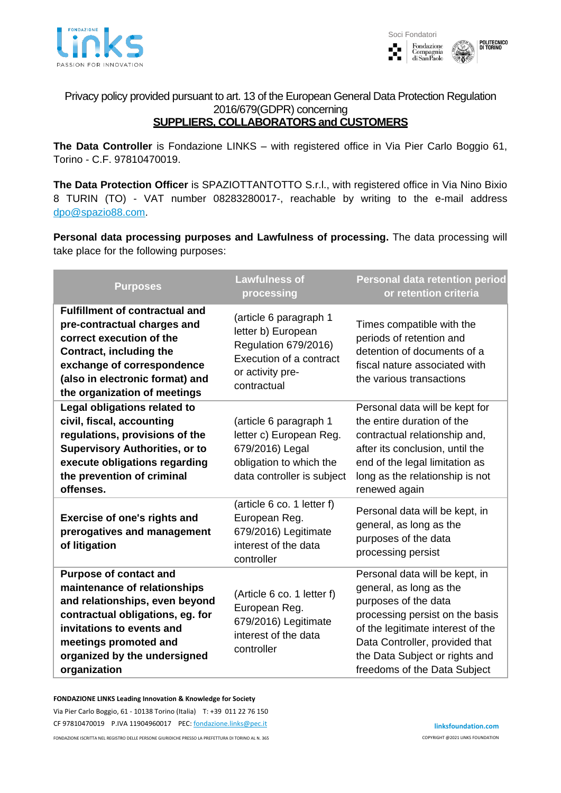



Privacy policy provided pursuant to art. 13 of the European General Data Protection Regulation 2016/679(GDPR) concerning **SUPPLIERS, COLLABORATORS and CUSTOMERS**

## **The Data Controller** is Fondazione LINKS – with registered office in Via Pier Carlo Boggio 61, Torino - C.F. 97810470019.

**The Data Protection Officer** is SPAZIOTTANTOTTO S.r.l., with registered office in Via Nino Bixio 8 TURIN (TO) - VAT number 08283280017-, reachable by writing to the e-mail address [dpo@spazio88.com.](mailto:dpo@spazio88.com)

**Personal data processing purposes and Lawfulness of processing.** The data processing will take place for the following purposes:

| <b>Purposes</b>                                                                                                                                                                                                                           | <b>Lawfulness of</b><br>processing                                                                                                 | <b>Personal data retention period</b><br>or retention criteria                                                                                                                                                                                                |
|-------------------------------------------------------------------------------------------------------------------------------------------------------------------------------------------------------------------------------------------|------------------------------------------------------------------------------------------------------------------------------------|---------------------------------------------------------------------------------------------------------------------------------------------------------------------------------------------------------------------------------------------------------------|
| <b>Fulfillment of contractual and</b><br>pre-contractual charges and<br>correct execution of the<br>Contract, including the<br>exchange of correspondence<br>(also in electronic format) and<br>the organization of meetings              | (article 6 paragraph 1<br>letter b) European<br>Regulation 679/2016)<br>Execution of a contract<br>or activity pre-<br>contractual | Times compatible with the<br>periods of retention and<br>detention of documents of a<br>fiscal nature associated with<br>the various transactions                                                                                                             |
| Legal obligations related to<br>civil, fiscal, accounting<br>regulations, provisions of the<br><b>Supervisory Authorities, or to</b><br>execute obligations regarding<br>the prevention of criminal<br>offenses.                          | (article 6 paragraph 1<br>letter c) European Reg.<br>679/2016) Legal<br>obligation to which the<br>data controller is subject      | Personal data will be kept for<br>the entire duration of the<br>contractual relationship and,<br>after its conclusion, until the<br>end of the legal limitation as<br>long as the relationship is not<br>renewed again                                        |
| <b>Exercise of one's rights and</b><br>prerogatives and management<br>of litigation                                                                                                                                                       | (article 6 co. 1 letter f)<br>European Reg.<br>679/2016) Legitimate<br>interest of the data<br>controller                          | Personal data will be kept, in<br>general, as long as the<br>purposes of the data<br>processing persist                                                                                                                                                       |
| <b>Purpose of contact and</b><br>maintenance of relationships<br>and relationships, even beyond<br>contractual obligations, eg. for<br>invitations to events and<br>meetings promoted and<br>organized by the undersigned<br>organization | (Article 6 co. 1 letter f)<br>European Reg.<br>679/2016) Legitimate<br>interest of the data<br>controller                          | Personal data will be kept, in<br>general, as long as the<br>purposes of the data<br>processing persist on the basis<br>of the legitimate interest of the<br>Data Controller, provided that<br>the Data Subject or rights and<br>freedoms of the Data Subject |

## **FONDAZIONE LINKS Leading Innovation & Knowledge for Society**

Via Pier Carlo Boggio, 61 - 10138 Torino (Italia) T: +39 011 22 76 150 CF 97810470019 P.IVA 11904960017 PEC[: fondazione.links@pec.it](mailto:fondazione.links@pec.it)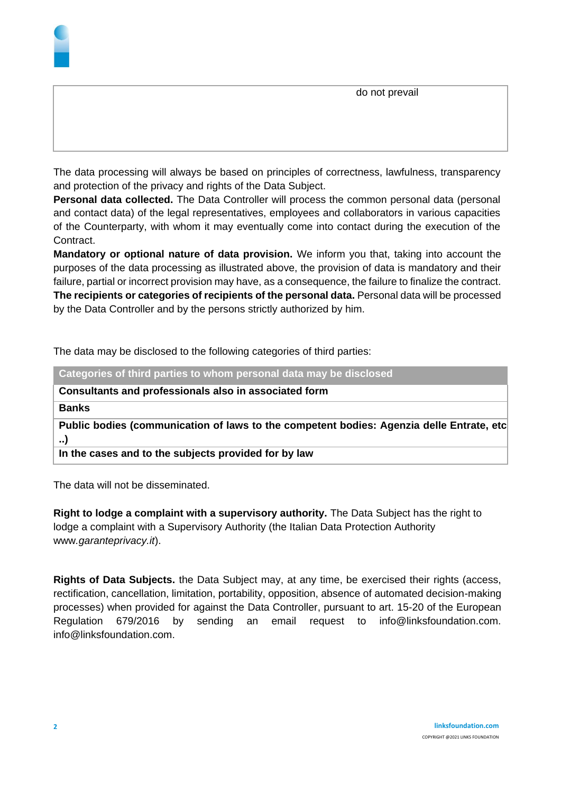

**Personal data collected.** The Data Controller will process the common personal data (personal and contact data) of the legal representatives, employees and collaborators in various capacities of the Counterparty, with whom it may eventually come into contact during the execution of the Contract.

**Mandatory or optional nature of data provision.** We inform you that, taking into account the purposes of the data processing as illustrated above, the provision of data is mandatory and their failure, partial or incorrect provision may have, as a consequence, the failure to finalize the contract. **The recipients or categories of recipients of the personal data.** Personal data will be processed by the Data Controller and by the persons strictly authorized by him.

The data may be disclosed to the following categories of third parties:

| Categories of third parties to whom personal data may be disclosed                                    |
|-------------------------------------------------------------------------------------------------------|
| Consultants and professionals also in associated form                                                 |
| <b>Banks</b>                                                                                          |
| Public bodies (communication of laws to the competent bodies: Agenzia delle Entrate, etc<br>$\cdot$ . |
| In the cases and to the subjects provided for by law                                                  |

The data will not be disseminated.

**Right to lodge a complaint with a supervisory authority.** The Data Subject has the right to lodge a complaint with a Supervisory Authority (the Italian Data Protection Authority www*.garanteprivacy.it*).

**Rights of Data Subjects.** the Data Subject may, at any time, be exercised their rights (access, rectification, cancellation, limitation, portability, opposition, absence of automated decision-making processes) when provided for against the Data Controller, pursuant to art. 15-20 of the European Regulation 679/2016 by sending an email request to info@linksfoundation.com. info@linksfoundation.com.